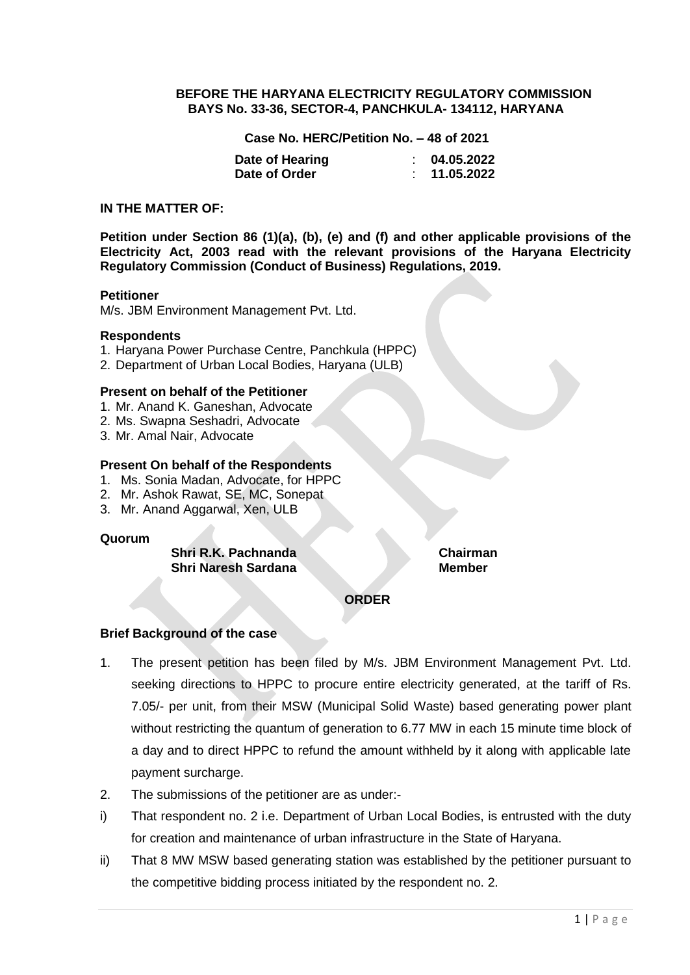#### **BEFORE THE HARYANA ELECTRICITY REGULATORY COMMISSION BAYS No. 33-36, SECTOR-4, PANCHKULA- 134112, HARYANA**

**Case No. HERC/Petition No. – 48 of 2021**

| Date of Hearing | 04.05.2022 |
|-----------------|------------|
| Date of Order   | 11.05.2022 |

#### **IN THE MATTER OF:**

**Petition under Section 86 (1)(a), (b), (e) and (f) and other applicable provisions of the Electricity Act, 2003 read with the relevant provisions of the Haryana Electricity Regulatory Commission (Conduct of Business) Regulations, 2019.**

#### **Petitioner**

M/s. JBM Environment Management Pvt. Ltd.

#### **Respondents**

- 1. Haryana Power Purchase Centre, Panchkula (HPPC)
- 2. Department of Urban Local Bodies, Haryana (ULB)

#### **Present on behalf of the Petitioner**

- 1. Mr. Anand K. Ganeshan, Advocate
- 2. Ms. Swapna Seshadri, Advocate
- 3. Mr. Amal Nair, Advocate

### **Present On behalf of the Respondents**

- 1. Ms. Sonia Madan, Advocate, for HPPC
- 2. Mr. Ashok Rawat, SE, MC, Sonepat
- 3. Mr. Anand Aggarwal, Xen, ULB

#### **Quorum**

**Shri R.K. Pachnanda Chairman Shri Naresh Sardana** 

# **Brief Background of the case**

1. The present petition has been filed by M/s. JBM Environment Management Pvt. Ltd. seeking directions to HPPC to procure entire electricity generated, at the tariff of Rs. 7.05/- per unit, from their MSW (Municipal Solid Waste) based generating power plant without restricting the quantum of generation to 6.77 MW in each 15 minute time block of a day and to direct HPPC to refund the amount withheld by it along with applicable late payment surcharge.

**ORDER**

- 2. The submissions of the petitioner are as under:-
- i) That respondent no. 2 i.e. Department of Urban Local Bodies, is entrusted with the duty for creation and maintenance of urban infrastructure in the State of Haryana.
- ii) That 8 MW MSW based generating station was established by the petitioner pursuant to the competitive bidding process initiated by the respondent no. 2.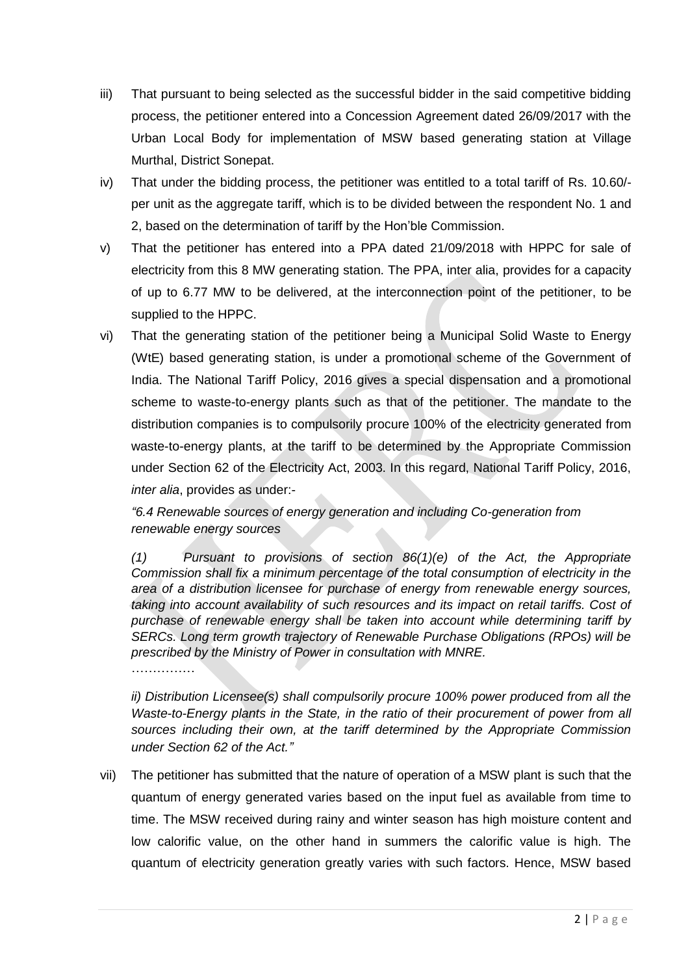- iii) That pursuant to being selected as the successful bidder in the said competitive bidding process, the petitioner entered into a Concession Agreement dated 26/09/2017 with the Urban Local Body for implementation of MSW based generating station at Village Murthal, District Sonepat.
- iv) That under the bidding process, the petitioner was entitled to a total tariff of Rs. 10.60/ per unit as the aggregate tariff, which is to be divided between the respondent No. 1 and 2, based on the determination of tariff by the Hon'ble Commission.
- v) That the petitioner has entered into a PPA dated 21/09/2018 with HPPC for sale of electricity from this 8 MW generating station. The PPA, inter alia, provides for a capacity of up to 6.77 MW to be delivered, at the interconnection point of the petitioner, to be supplied to the HPPC.
- vi) That the generating station of the petitioner being a Municipal Solid Waste to Energy (WtE) based generating station, is under a promotional scheme of the Government of India. The National Tariff Policy, 2016 gives a special dispensation and a promotional scheme to waste-to-energy plants such as that of the petitioner. The mandate to the distribution companies is to compulsorily procure 100% of the electricity generated from waste-to-energy plants, at the tariff to be determined by the Appropriate Commission under Section 62 of the Electricity Act, 2003. In this regard, National Tariff Policy, 2016, *inter alia*, provides as under:-

*"6.4 Renewable sources of energy generation and including Co-generation from renewable energy sources* 

*(1) Pursuant to provisions of section 86(1)(e) of the Act, the Appropriate Commission shall fix a minimum percentage of the total consumption of electricity in the area of a distribution licensee for purchase of energy from renewable energy sources, taking into account availability of such resources and its impact on retail tariffs. Cost of purchase of renewable energy shall be taken into account while determining tariff by SERCs. Long term growth trajectory of Renewable Purchase Obligations (RPOs) will be prescribed by the Ministry of Power in consultation with MNRE.*

……………

*ii) Distribution Licensee(s) shall compulsorily procure 100% power produced from all the Waste-to-Energy plants in the State, in the ratio of their procurement of power from all sources including their own, at the tariff determined by the Appropriate Commission under Section 62 of the Act."*

vii) The petitioner has submitted that the nature of operation of a MSW plant is such that the quantum of energy generated varies based on the input fuel as available from time to time. The MSW received during rainy and winter season has high moisture content and low calorific value, on the other hand in summers the calorific value is high. The quantum of electricity generation greatly varies with such factors. Hence, MSW based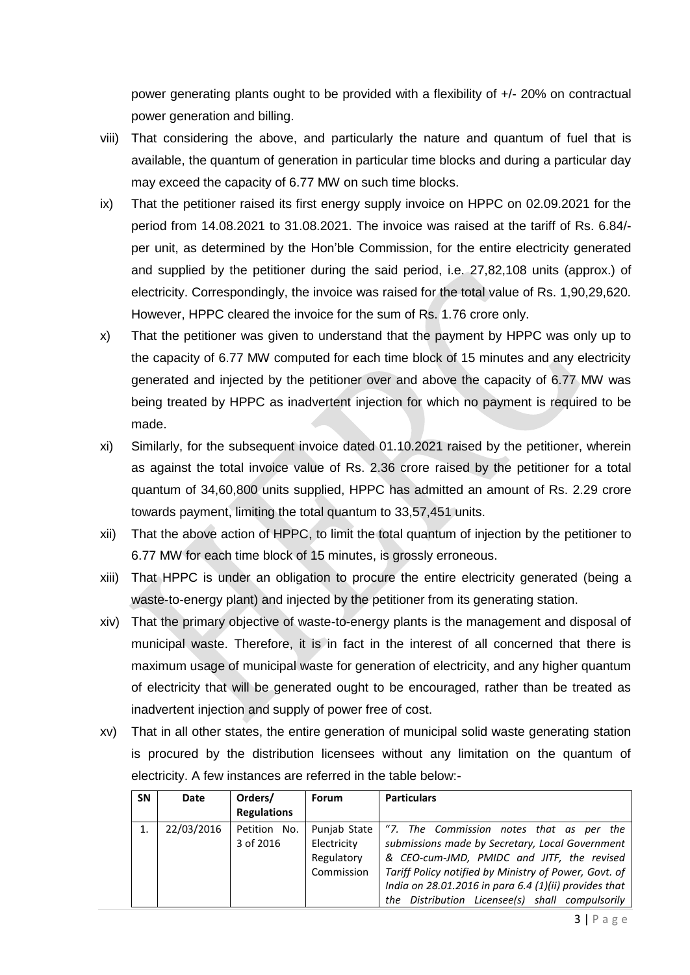power generating plants ought to be provided with a flexibility of +/- 20% on contractual power generation and billing.

- viii) That considering the above, and particularly the nature and quantum of fuel that is available, the quantum of generation in particular time blocks and during a particular day may exceed the capacity of 6.77 MW on such time blocks.
- ix) That the petitioner raised its first energy supply invoice on HPPC on 02.09.2021 for the period from 14.08.2021 to 31.08.2021. The invoice was raised at the tariff of Rs. 6.84/ per unit, as determined by the Hon'ble Commission, for the entire electricity generated and supplied by the petitioner during the said period, i.e. 27,82,108 units (approx.) of electricity. Correspondingly, the invoice was raised for the total value of Rs. 1,90,29,620. However, HPPC cleared the invoice for the sum of Rs. 1.76 crore only.
- x) That the petitioner was given to understand that the payment by HPPC was only up to the capacity of 6.77 MW computed for each time block of 15 minutes and any electricity generated and injected by the petitioner over and above the capacity of 6.77 MW was being treated by HPPC as inadvertent injection for which no payment is required to be made.
- xi) Similarly, for the subsequent invoice dated 01.10.2021 raised by the petitioner, wherein as against the total invoice value of Rs. 2.36 crore raised by the petitioner for a total quantum of 34,60,800 units supplied, HPPC has admitted an amount of Rs. 2.29 crore towards payment, limiting the total quantum to 33,57,451 units.
- xii) That the above action of HPPC, to limit the total quantum of injection by the petitioner to 6.77 MW for each time block of 15 minutes, is grossly erroneous.
- xiii) That HPPC is under an obligation to procure the entire electricity generated (being a waste-to-energy plant) and injected by the petitioner from its generating station.
- xiv) That the primary objective of waste-to-energy plants is the management and disposal of municipal waste. Therefore, it is in fact in the interest of all concerned that there is maximum usage of municipal waste for generation of electricity, and any higher quantum of electricity that will be generated ought to be encouraged, rather than be treated as inadvertent injection and supply of power free of cost.
- xv) That in all other states, the entire generation of municipal solid waste generating station is procured by the distribution licensees without any limitation on the quantum of electricity. A few instances are referred in the table below:-

| <b>SN</b> | Date       | Orders/                   | <b>Forum</b>                                            | <b>Particulars</b>                                                                                                                                                                                                                                                                                             |
|-----------|------------|---------------------------|---------------------------------------------------------|----------------------------------------------------------------------------------------------------------------------------------------------------------------------------------------------------------------------------------------------------------------------------------------------------------------|
|           |            | <b>Regulations</b>        |                                                         |                                                                                                                                                                                                                                                                                                                |
|           | 22/03/2016 | Petition No.<br>3 of 2016 | Punjab State<br>Electricity<br>Regulatory<br>Commission | "7. The Commission notes that as per the<br>submissions made by Secretary, Local Government<br>& CEO-cum-JMD, PMIDC and JITF, the revised<br>Tariff Policy notified by Ministry of Power, Govt. of<br>India on 28.01.2016 in para 6.4 (1)(ii) provides that<br>the Distribution Licensee(s) shall compulsorily |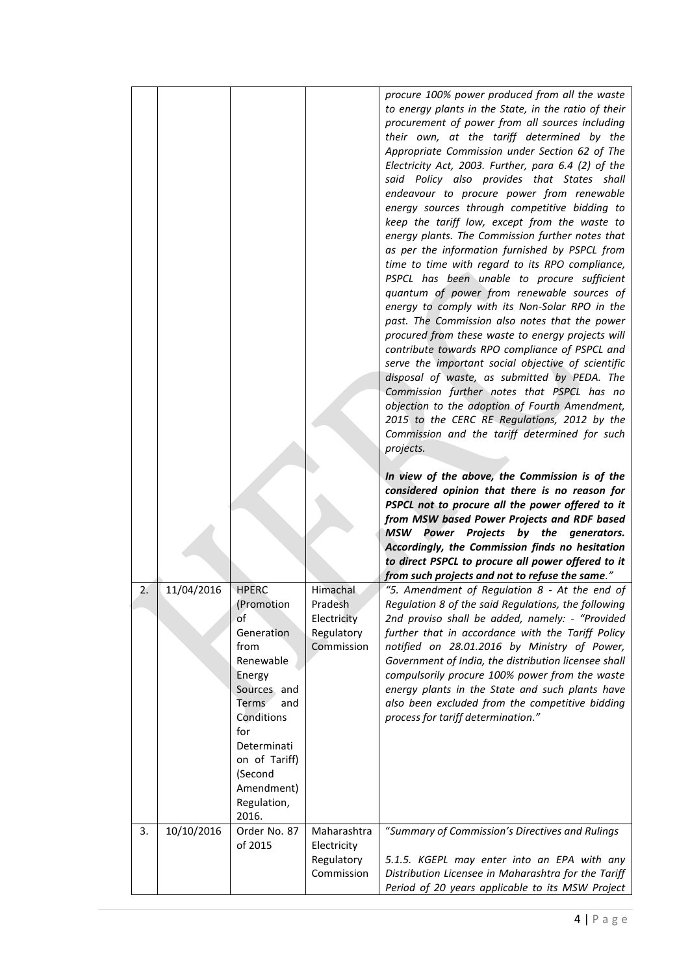|    |            |                                                                                                                                                                                                    |                                                    | procure 100% power produced from all the waste<br>to energy plants in the State, in the ratio of their<br>procurement of power from all sources including<br>their own, at the tariff determined by the<br>Appropriate Commission under Section 62 of The<br>Electricity Act, 2003. Further, para 6.4 (2) of the<br>said Policy also provides that States shall<br>endeavour to procure power from renewable<br>energy sources through competitive bidding to<br>keep the tariff low, except from the waste to<br>energy plants. The Commission further notes that<br>as per the information furnished by PSPCL from<br>time to time with regard to its RPO compliance,<br>PSPCL has been unable to procure sufficient<br>quantum of power from renewable sources of<br>energy to comply with its Non-Solar RPO in the<br>past. The Commission also notes that the power<br>procured from these waste to energy projects will<br>contribute towards RPO compliance of PSPCL and<br>serve the important social objective of scientific<br>disposal of waste, as submitted by PEDA. The<br>Commission further notes that PSPCL has no<br>objection to the adoption of Fourth Amendment,<br>2015 to the CERC RE Regulations, 2012 by the<br>Commission and the tariff determined for such<br>projects.<br>In view of the above, the Commission is of the<br>considered opinion that there is no reason for<br>PSPCL not to procure all the power offered to it<br>from MSW based Power Projects and RDF based<br>MSW<br>Power Projects by the generators.<br>Accordingly, the Commission finds no hesitation<br>to direct PSPCL to procure all power offered to it |
|----|------------|----------------------------------------------------------------------------------------------------------------------------------------------------------------------------------------------------|----------------------------------------------------|-----------------------------------------------------------------------------------------------------------------------------------------------------------------------------------------------------------------------------------------------------------------------------------------------------------------------------------------------------------------------------------------------------------------------------------------------------------------------------------------------------------------------------------------------------------------------------------------------------------------------------------------------------------------------------------------------------------------------------------------------------------------------------------------------------------------------------------------------------------------------------------------------------------------------------------------------------------------------------------------------------------------------------------------------------------------------------------------------------------------------------------------------------------------------------------------------------------------------------------------------------------------------------------------------------------------------------------------------------------------------------------------------------------------------------------------------------------------------------------------------------------------------------------------------------------------------------------------------------------------------------------------------------------------|
| 2. | 11/04/2016 | <b>HPERC</b>                                                                                                                                                                                       | Himachal                                           | from such projects and not to refuse the same."<br>"5. Amendment of Regulation 8 - At the end of                                                                                                                                                                                                                                                                                                                                                                                                                                                                                                                                                                                                                                                                                                                                                                                                                                                                                                                                                                                                                                                                                                                                                                                                                                                                                                                                                                                                                                                                                                                                                                |
|    |            | (Promotion<br>of<br>Generation<br>from<br>Renewable<br>Energy<br>Sources and<br>Terms<br>and<br>Conditions<br>for<br>Determinati<br>on of Tariff)<br>(Second<br>Amendment)<br>Regulation,<br>2016. | Pradesh<br>Electricity<br>Regulatory<br>Commission | Regulation 8 of the said Regulations, the following<br>2nd proviso shall be added, namely: - "Provided<br>further that in accordance with the Tariff Policy<br>notified on 28.01.2016 by Ministry of Power,<br>Government of India, the distribution licensee shall<br>compulsorily procure 100% power from the waste<br>energy plants in the State and such plants have<br>also been excluded from the competitive bidding<br>process for tariff determination."                                                                                                                                                                                                                                                                                                                                                                                                                                                                                                                                                                                                                                                                                                                                                                                                                                                                                                                                                                                                                                                                                                                                                                                               |
| 3. | 10/10/2016 | Order No. 87<br>of 2015                                                                                                                                                                            | Maharashtra<br>Electricity                         | "Summary of Commission's Directives and Rulings                                                                                                                                                                                                                                                                                                                                                                                                                                                                                                                                                                                                                                                                                                                                                                                                                                                                                                                                                                                                                                                                                                                                                                                                                                                                                                                                                                                                                                                                                                                                                                                                                 |
|    |            |                                                                                                                                                                                                    | Regulatory<br>Commission                           | 5.1.5. KGEPL may enter into an EPA with any<br>Distribution Licensee in Maharashtra for the Tariff<br>Period of 20 years applicable to its MSW Project                                                                                                                                                                                                                                                                                                                                                                                                                                                                                                                                                                                                                                                                                                                                                                                                                                                                                                                                                                                                                                                                                                                                                                                                                                                                                                                                                                                                                                                                                                          |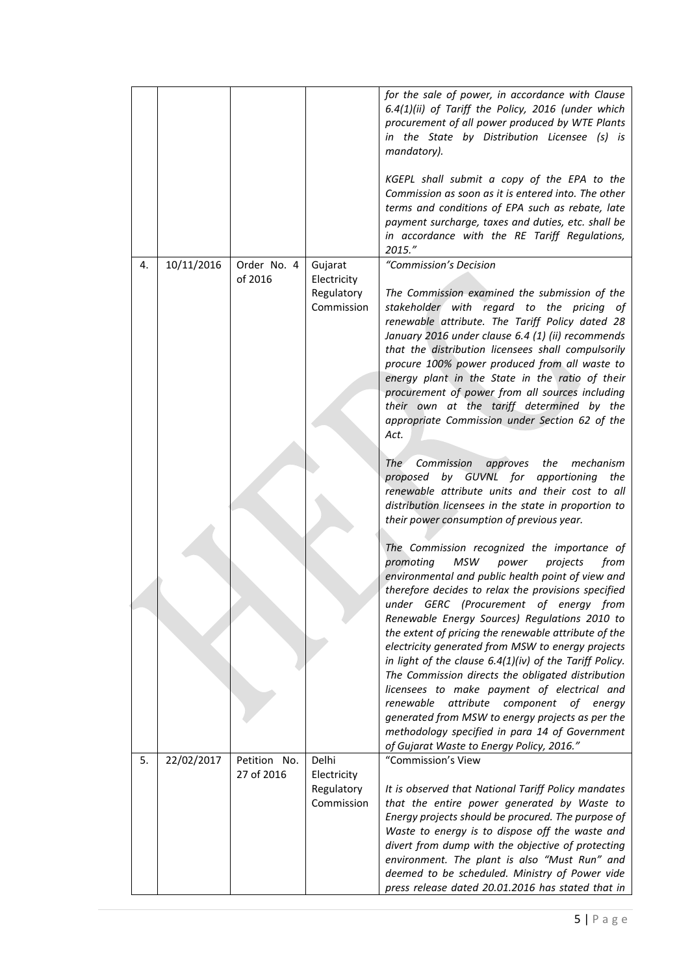|    |            |                            |                                                    | for the sale of power, in accordance with Clause<br>6.4(1)(ii) of Tariff the Policy, 2016 (under which<br>procurement of all power produced by WTE Plants<br>in the State by Distribution Licensee (s) is<br>mandatory).<br>KGEPL shall submit a copy of the EPA to the                                                                                                                                                                                                                                                                                                                                                                                                                      |
|----|------------|----------------------------|----------------------------------------------------|----------------------------------------------------------------------------------------------------------------------------------------------------------------------------------------------------------------------------------------------------------------------------------------------------------------------------------------------------------------------------------------------------------------------------------------------------------------------------------------------------------------------------------------------------------------------------------------------------------------------------------------------------------------------------------------------|
|    |            |                            |                                                    | Commission as soon as it is entered into. The other<br>terms and conditions of EPA such as rebate, late<br>payment surcharge, taxes and duties, etc. shall be<br>in accordance with the RE Tariff Regulations,<br>2015."                                                                                                                                                                                                                                                                                                                                                                                                                                                                     |
| 4. | 10/11/2016 | Order No. 4<br>of 2016     | Gujarat<br>Electricity<br>Regulatory<br>Commission | "Commission's Decision<br>The Commission examined the submission of the<br>stakeholder with regard to the pricing of<br>renewable attribute. The Tariff Policy dated 28<br>January 2016 under clause 6.4 (1) (ii) recommends<br>that the distribution licensees shall compulsorily<br>procure 100% power produced from all waste to<br>energy plant in the State in the ratio of their<br>procurement of power from all sources including<br>their own at the tariff determined by the<br>appropriate Commission under Section 62 of the                                                                                                                                                     |
|    |            |                            |                                                    | Act.<br>Commission<br>approves the<br>mechanism<br>The<br>proposed by GUVNL for apportioning the<br>renewable attribute units and their cost to all<br>distribution licensees in the state in proportion to<br>their power consumption of previous year.                                                                                                                                                                                                                                                                                                                                                                                                                                     |
|    |            |                            |                                                    | The Commission recognized the importance of<br>MSW<br>promoting<br>power<br>projects<br>from<br>environmental and public health point of view and<br>therefore decides to relax the provisions specified<br>under GERC (Procurement of energy from<br>Renewable Energy Sources) Regulations 2010 to<br>the extent of pricing the renewable attribute of the<br>electricity generated from MSW to energy projects<br>in light of the clause $6.4(1)(iv)$ of the Tariff Policy.<br>The Commission directs the obligated distribution<br>licensees to make payment of electrical and<br>renewable<br>attribute<br>component<br>of<br>energy<br>generated from MSW to energy projects as per the |
| 5. | 22/02/2017 | Petition No.<br>27 of 2016 | Delhi                                              | methodology specified in para 14 of Government<br>of Gujarat Waste to Energy Policy, 2016."<br>"Commission's View                                                                                                                                                                                                                                                                                                                                                                                                                                                                                                                                                                            |
|    |            |                            | Electricity<br>Regulatory<br>Commission            | It is observed that National Tariff Policy mandates<br>that the entire power generated by Waste to<br>Energy projects should be procured. The purpose of<br>Waste to energy is to dispose off the waste and<br>divert from dump with the objective of protecting<br>environment. The plant is also "Must Run" and<br>deemed to be scheduled. Ministry of Power vide<br>press release dated 20.01.2016 has stated that in                                                                                                                                                                                                                                                                     |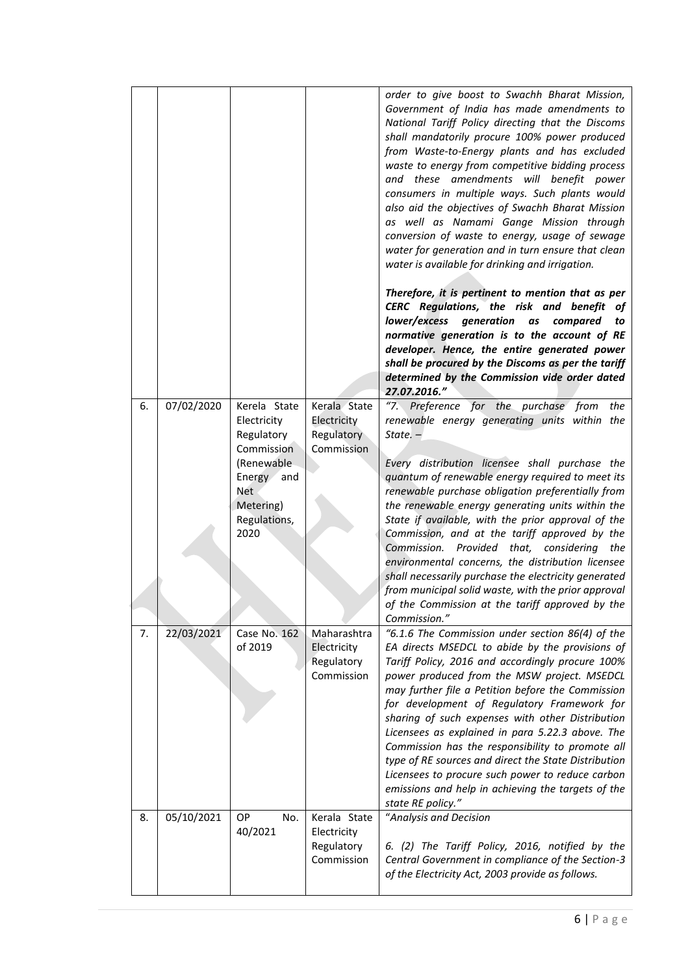|    |            |                                                                                                                                 |                                                         | order to give boost to Swachh Bharat Mission,<br>Government of India has made amendments to<br>National Tariff Policy directing that the Discoms<br>shall mandatorily procure 100% power produced<br>from Waste-to-Energy plants and has excluded<br>waste to energy from competitive bidding process<br>and these amendments will benefit power<br>consumers in multiple ways. Such plants would<br>also aid the objectives of Swachh Bharat Mission<br>as well as Namami Gange Mission through<br>conversion of waste to energy, usage of sewage<br>water for generation and in turn ensure that clean<br>water is available for drinking and irrigation.<br>Therefore, it is pertinent to mention that as per<br>CERC Regulations, the risk and benefit of<br>lower/excess<br>generation<br>as<br>compared<br>to<br>normative generation is to the account of RE<br>developer. Hence, the entire generated power<br>shall be procured by the Discoms as per the tariff<br>determined by the Commission vide order dated<br>27.07.2016." |
|----|------------|---------------------------------------------------------------------------------------------------------------------------------|---------------------------------------------------------|--------------------------------------------------------------------------------------------------------------------------------------------------------------------------------------------------------------------------------------------------------------------------------------------------------------------------------------------------------------------------------------------------------------------------------------------------------------------------------------------------------------------------------------------------------------------------------------------------------------------------------------------------------------------------------------------------------------------------------------------------------------------------------------------------------------------------------------------------------------------------------------------------------------------------------------------------------------------------------------------------------------------------------------------|
| 6. | 07/02/2020 | Kerela State<br>Electricity<br>Regulatory<br>Commission<br>(Renewable<br>Energy and<br>Net<br>Metering)<br>Regulations,<br>2020 | Kerala State<br>Electricity<br>Regulatory<br>Commission | "7. Preference for the purchase from<br>the<br>renewable energy generating units within the<br>$State. -$<br>Every distribution licensee shall purchase the<br>quantum of renewable energy required to meet its<br>renewable purchase obligation preferentially from<br>the renewable energy generating units within the<br>State if available, with the prior approval of the<br>Commission, and at the tariff approved by the<br>Commission. Provided that, considering<br>the<br>environmental concerns, the distribution licensee<br>shall necessarily purchase the electricity generated<br>from municipal solid waste, with the prior approval<br>of the Commission at the tariff approved by the<br>Commission."                                                                                                                                                                                                                                                                                                                    |
| 7. | 22/03/2021 | Case No. 162<br>of 2019                                                                                                         | Maharashtra<br>Electricity<br>Regulatory<br>Commission  | "6.1.6 The Commission under section 86(4) of the<br>EA directs MSEDCL to abide by the provisions of<br>Tariff Policy, 2016 and accordingly procure 100%<br>power produced from the MSW project. MSEDCL<br>may further file a Petition before the Commission<br>for development of Regulatory Framework for<br>sharing of such expenses with other Distribution<br>Licensees as explained in para 5.22.3 above. The<br>Commission has the responsibility to promote all<br>type of RE sources and direct the State Distribution<br>Licensees to procure such power to reduce carbon<br>emissions and help in achieving the targets of the<br>state RE policy."                                                                                                                                                                                                                                                                                                                                                                              |
| 8. | 05/10/2021 | OP<br>No.<br>40/2021                                                                                                            | Kerala State<br>Electricity<br>Regulatory<br>Commission | "Analysis and Decision<br>6. (2) The Tariff Policy, 2016, notified by the<br>Central Government in compliance of the Section-3<br>of the Electricity Act, 2003 provide as follows.                                                                                                                                                                                                                                                                                                                                                                                                                                                                                                                                                                                                                                                                                                                                                                                                                                                         |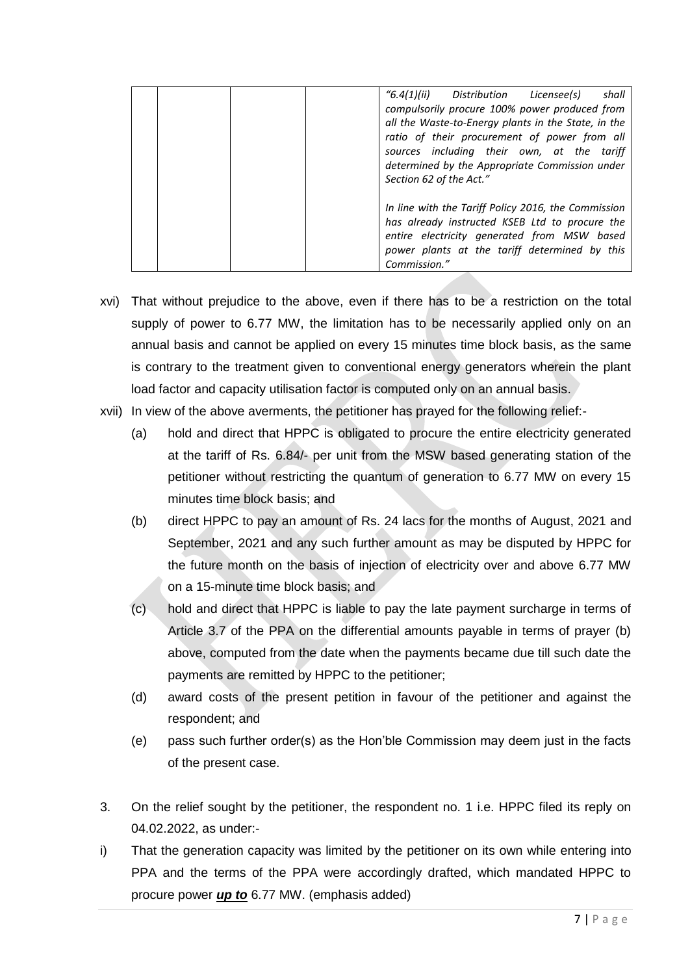| Distribution Licensee(s)<br>"6.4(1)(ii)<br>shall<br>compulsorily procure 100% power produced from<br>all the Waste-to-Energy plants in the State, in the<br>ratio of their procurement of power from all<br>sources including their own, at the tariff<br>determined by the Appropriate Commission under<br>Section 62 of the Act." |
|-------------------------------------------------------------------------------------------------------------------------------------------------------------------------------------------------------------------------------------------------------------------------------------------------------------------------------------|
| In line with the Tariff Policy 2016, the Commission<br>has already instructed KSEB Ltd to procure the<br>entire electricity generated from MSW based<br>power plants at the tariff determined by this<br>Commission."                                                                                                               |

- xvi) That without prejudice to the above, even if there has to be a restriction on the total supply of power to 6.77 MW, the limitation has to be necessarily applied only on an annual basis and cannot be applied on every 15 minutes time block basis, as the same is contrary to the treatment given to conventional energy generators wherein the plant load factor and capacity utilisation factor is computed only on an annual basis.
- xvii) In view of the above averments, the petitioner has prayed for the following relief:-
	- (a) hold and direct that HPPC is obligated to procure the entire electricity generated at the tariff of Rs. 6.84/- per unit from the MSW based generating station of the petitioner without restricting the quantum of generation to 6.77 MW on every 15 minutes time block basis; and
	- (b) direct HPPC to pay an amount of Rs. 24 lacs for the months of August, 2021 and September, 2021 and any such further amount as may be disputed by HPPC for the future month on the basis of injection of electricity over and above 6.77 MW on a 15-minute time block basis; and
	- (c) hold and direct that HPPC is liable to pay the late payment surcharge in terms of Article 3.7 of the PPA on the differential amounts payable in terms of prayer (b) above, computed from the date when the payments became due till such date the payments are remitted by HPPC to the petitioner;
	- (d) award costs of the present petition in favour of the petitioner and against the respondent; and
	- (e) pass such further order(s) as the Hon'ble Commission may deem just in the facts of the present case.
- 3. On the relief sought by the petitioner, the respondent no. 1 i.e. HPPC filed its reply on 04.02.2022, as under:-
- i) That the generation capacity was limited by the petitioner on its own while entering into PPA and the terms of the PPA were accordingly drafted, which mandated HPPC to procure power *up to* 6.77 MW. (emphasis added)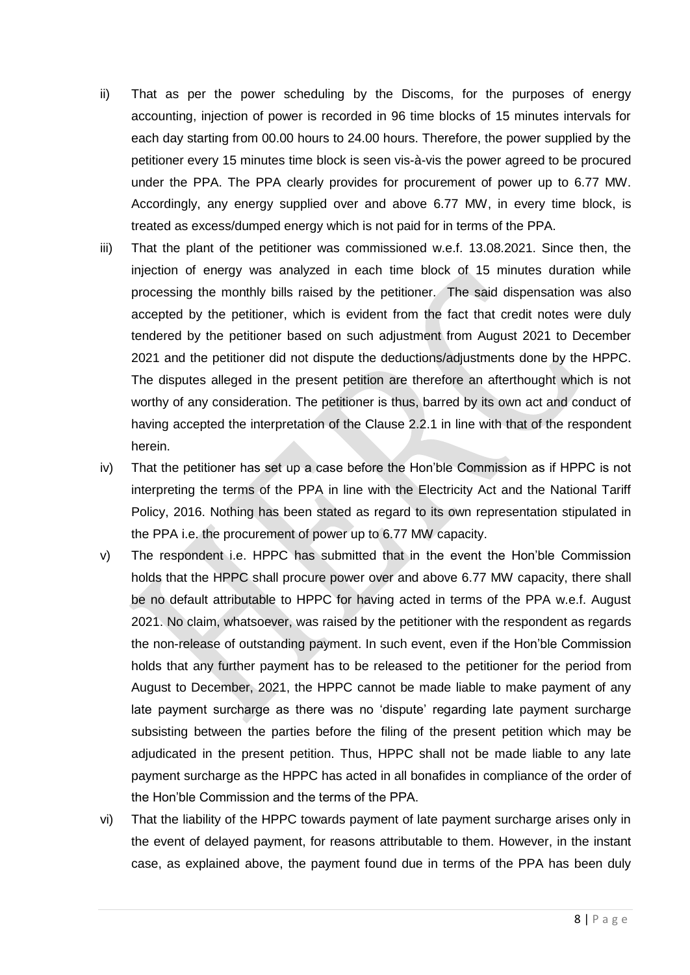- ii) That as per the power scheduling by the Discoms, for the purposes of energy accounting, injection of power is recorded in 96 time blocks of 15 minutes intervals for each day starting from 00.00 hours to 24.00 hours. Therefore, the power supplied by the petitioner every 15 minutes time block is seen vis-à-vis the power agreed to be procured under the PPA. The PPA clearly provides for procurement of power up to 6.77 MW. Accordingly, any energy supplied over and above 6.77 MW, in every time block, is treated as excess/dumped energy which is not paid for in terms of the PPA.
- iii) That the plant of the petitioner was commissioned w.e.f. 13.08.2021. Since then, the injection of energy was analyzed in each time block of 15 minutes duration while processing the monthly bills raised by the petitioner. The said dispensation was also accepted by the petitioner, which is evident from the fact that credit notes were duly tendered by the petitioner based on such adjustment from August 2021 to December 2021 and the petitioner did not dispute the deductions/adjustments done by the HPPC. The disputes alleged in the present petition are therefore an afterthought which is not worthy of any consideration. The petitioner is thus, barred by its own act and conduct of having accepted the interpretation of the Clause 2.2.1 in line with that of the respondent herein.
- iv) That the petitioner has set up a case before the Hon'ble Commission as if HPPC is not interpreting the terms of the PPA in line with the Electricity Act and the National Tariff Policy, 2016. Nothing has been stated as regard to its own representation stipulated in the PPA i.e. the procurement of power up to 6.77 MW capacity.
- v) The respondent i.e. HPPC has submitted that in the event the Hon'ble Commission holds that the HPPC shall procure power over and above 6.77 MW capacity, there shall be no default attributable to HPPC for having acted in terms of the PPA w.e.f. August 2021. No claim, whatsoever, was raised by the petitioner with the respondent as regards the non-release of outstanding payment. In such event, even if the Hon'ble Commission holds that any further payment has to be released to the petitioner for the period from August to December, 2021, the HPPC cannot be made liable to make payment of any late payment surcharge as there was no 'dispute' regarding late payment surcharge subsisting between the parties before the filing of the present petition which may be adjudicated in the present petition. Thus, HPPC shall not be made liable to any late payment surcharge as the HPPC has acted in all bonafides in compliance of the order of the Hon'ble Commission and the terms of the PPA.
- vi) That the liability of the HPPC towards payment of late payment surcharge arises only in the event of delayed payment, for reasons attributable to them. However, in the instant case, as explained above, the payment found due in terms of the PPA has been duly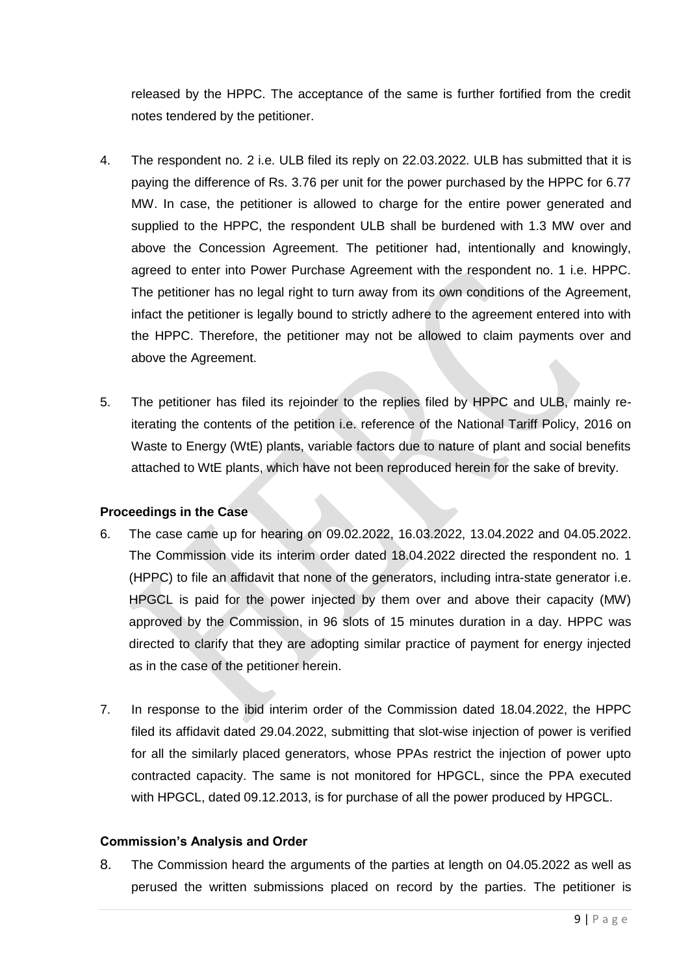released by the HPPC. The acceptance of the same is further fortified from the credit notes tendered by the petitioner.

- 4. The respondent no. 2 i.e. ULB filed its reply on 22.03.2022. ULB has submitted that it is paying the difference of Rs. 3.76 per unit for the power purchased by the HPPC for 6.77 MW. In case, the petitioner is allowed to charge for the entire power generated and supplied to the HPPC, the respondent ULB shall be burdened with 1.3 MW over and above the Concession Agreement. The petitioner had, intentionally and knowingly, agreed to enter into Power Purchase Agreement with the respondent no. 1 i.e. HPPC. The petitioner has no legal right to turn away from its own conditions of the Agreement, infact the petitioner is legally bound to strictly adhere to the agreement entered into with the HPPC. Therefore, the petitioner may not be allowed to claim payments over and above the Agreement.
- 5. The petitioner has filed its rejoinder to the replies filed by HPPC and ULB, mainly reiterating the contents of the petition i.e. reference of the National Tariff Policy, 2016 on Waste to Energy (WtE) plants, variable factors due to nature of plant and social benefits attached to WtE plants, which have not been reproduced herein for the sake of brevity.

## **Proceedings in the Case**

- 6. The case came up for hearing on 09.02.2022, 16.03.2022, 13.04.2022 and 04.05.2022. The Commission vide its interim order dated 18.04.2022 directed the respondent no. 1 (HPPC) to file an affidavit that none of the generators, including intra-state generator i.e. HPGCL is paid for the power injected by them over and above their capacity (MW) approved by the Commission, in 96 slots of 15 minutes duration in a day. HPPC was directed to clarify that they are adopting similar practice of payment for energy injected as in the case of the petitioner herein.
- 7. In response to the ibid interim order of the Commission dated 18.04.2022, the HPPC filed its affidavit dated 29.04.2022, submitting that slot-wise injection of power is verified for all the similarly placed generators, whose PPAs restrict the injection of power upto contracted capacity. The same is not monitored for HPGCL, since the PPA executed with HPGCL, dated 09.12.2013, is for purchase of all the power produced by HPGCL.

### **Commission's Analysis and Order**

8. The Commission heard the arguments of the parties at length on 04.05.2022 as well as perused the written submissions placed on record by the parties. The petitioner is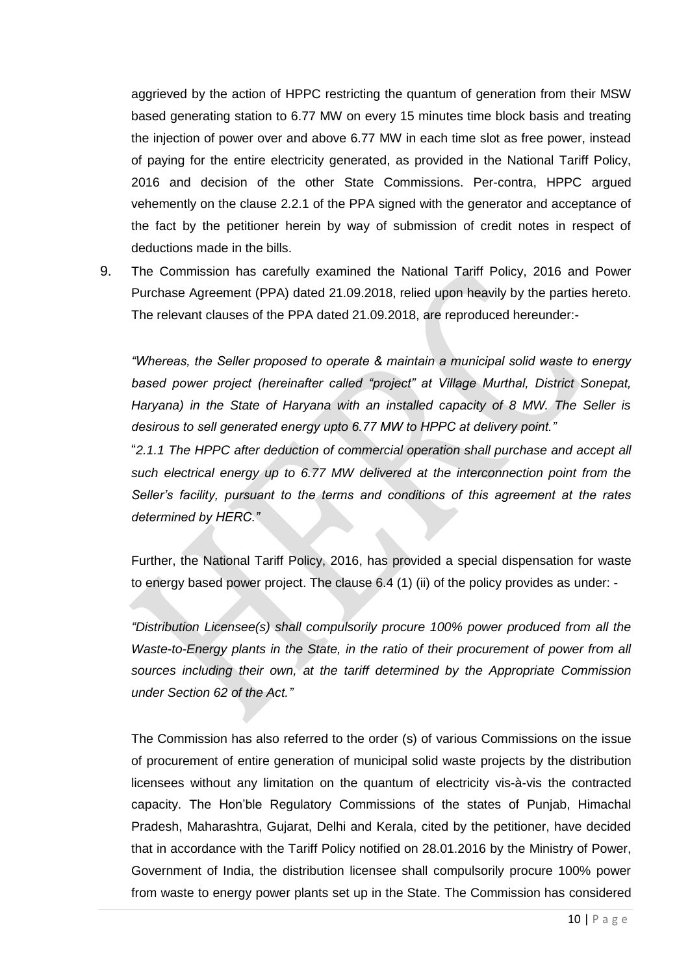aggrieved by the action of HPPC restricting the quantum of generation from their MSW based generating station to 6.77 MW on every 15 minutes time block basis and treating the injection of power over and above 6.77 MW in each time slot as free power, instead of paying for the entire electricity generated, as provided in the National Tariff Policy, 2016 and decision of the other State Commissions. Per-contra, HPPC argued vehemently on the clause 2.2.1 of the PPA signed with the generator and acceptance of the fact by the petitioner herein by way of submission of credit notes in respect of deductions made in the bills.

9. The Commission has carefully examined the National Tariff Policy, 2016 and Power Purchase Agreement (PPA) dated 21.09.2018, relied upon heavily by the parties hereto. The relevant clauses of the PPA dated 21.09.2018, are reproduced hereunder:-

*"Whereas, the Seller proposed to operate & maintain a municipal solid waste to energy based power project (hereinafter called "project" at Village Murthal, District Sonepat, Haryana) in the State of Haryana with an installed capacity of 8 MW. The Seller is desirous to sell generated energy upto 6.77 MW to HPPC at delivery point."*

"*2.1.1 The HPPC after deduction of commercial operation shall purchase and accept all such electrical energy up to 6.77 MW delivered at the interconnection point from the Seller's facility, pursuant to the terms and conditions of this agreement at the rates determined by HERC."*

Further, the National Tariff Policy, 2016, has provided a special dispensation for waste to energy based power project. The clause 6.4 (1) (ii) of the policy provides as under: -

*"Distribution Licensee(s) shall compulsorily procure 100% power produced from all the Waste-to-Energy plants in the State, in the ratio of their procurement of power from all sources including their own, at the tariff determined by the Appropriate Commission under Section 62 of the Act."*

The Commission has also referred to the order (s) of various Commissions on the issue of procurement of entire generation of municipal solid waste projects by the distribution licensees without any limitation on the quantum of electricity vis-à-vis the contracted capacity. The Hon'ble Regulatory Commissions of the states of Punjab, Himachal Pradesh, Maharashtra, Gujarat, Delhi and Kerala, cited by the petitioner, have decided that in accordance with the Tariff Policy notified on 28.01.2016 by the Ministry of Power, Government of India, the distribution licensee shall compulsorily procure 100% power from waste to energy power plants set up in the State. The Commission has considered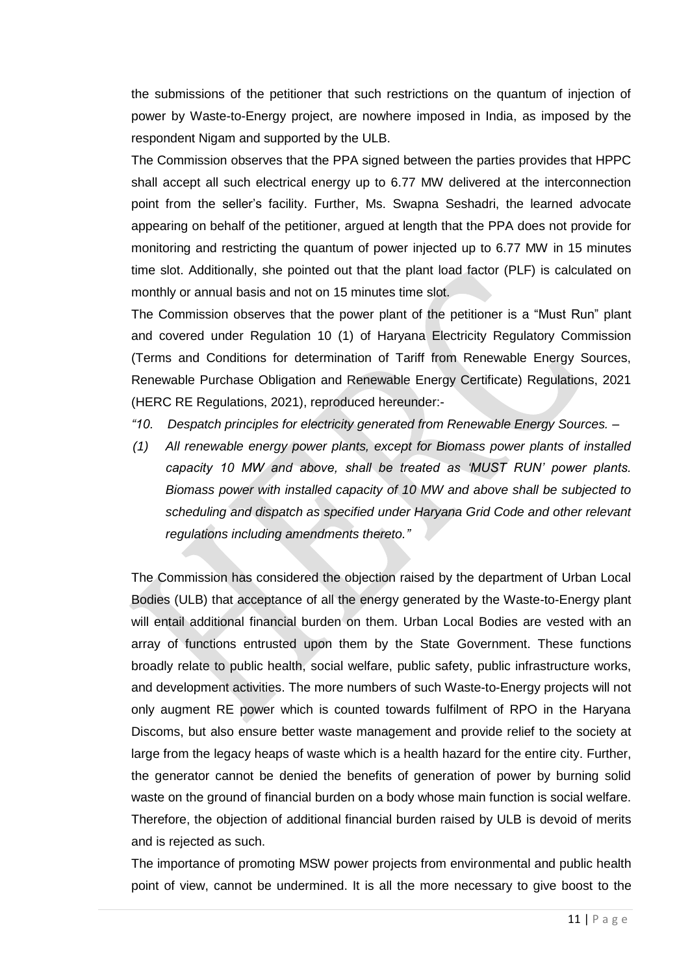the submissions of the petitioner that such restrictions on the quantum of injection of power by Waste-to-Energy project, are nowhere imposed in India, as imposed by the respondent Nigam and supported by the ULB.

The Commission observes that the PPA signed between the parties provides that HPPC shall accept all such electrical energy up to 6.77 MW delivered at the interconnection point from the seller's facility. Further, Ms. Swapna Seshadri, the learned advocate appearing on behalf of the petitioner, argued at length that the PPA does not provide for monitoring and restricting the quantum of power injected up to 6.77 MW in 15 minutes time slot. Additionally, she pointed out that the plant load factor (PLF) is calculated on monthly or annual basis and not on 15 minutes time slot.

The Commission observes that the power plant of the petitioner is a "Must Run" plant and covered under Regulation 10 (1) of Haryana Electricity Regulatory Commission (Terms and Conditions for determination of Tariff from Renewable Energy Sources, Renewable Purchase Obligation and Renewable Energy Certificate) Regulations, 2021 (HERC RE Regulations, 2021), reproduced hereunder:-

- *"10. Despatch principles for electricity generated from Renewable Energy Sources. –*
- *(1) All renewable energy power plants, except for Biomass power plants of installed capacity 10 MW and above, shall be treated as 'MUST RUN' power plants. Biomass power with installed capacity of 10 MW and above shall be subjected to scheduling and dispatch as specified under Haryana Grid Code and other relevant regulations including amendments thereto."*

The Commission has considered the objection raised by the department of Urban Local Bodies (ULB) that acceptance of all the energy generated by the Waste-to-Energy plant will entail additional financial burden on them. Urban Local Bodies are vested with an array of functions entrusted upon them by the State Government. These functions broadly relate to public health, social welfare, public safety, public infrastructure works, and development activities. The more numbers of such Waste-to-Energy projects will not only augment RE power which is counted towards fulfilment of RPO in the Haryana Discoms, but also ensure better waste management and provide relief to the society at large from the legacy heaps of waste which is a health hazard for the entire city. Further, the generator cannot be denied the benefits of generation of power by burning solid waste on the ground of financial burden on a body whose main function is social welfare. Therefore, the objection of additional financial burden raised by ULB is devoid of merits and is rejected as such.

The importance of promoting MSW power projects from environmental and public health point of view, cannot be undermined. It is all the more necessary to give boost to the